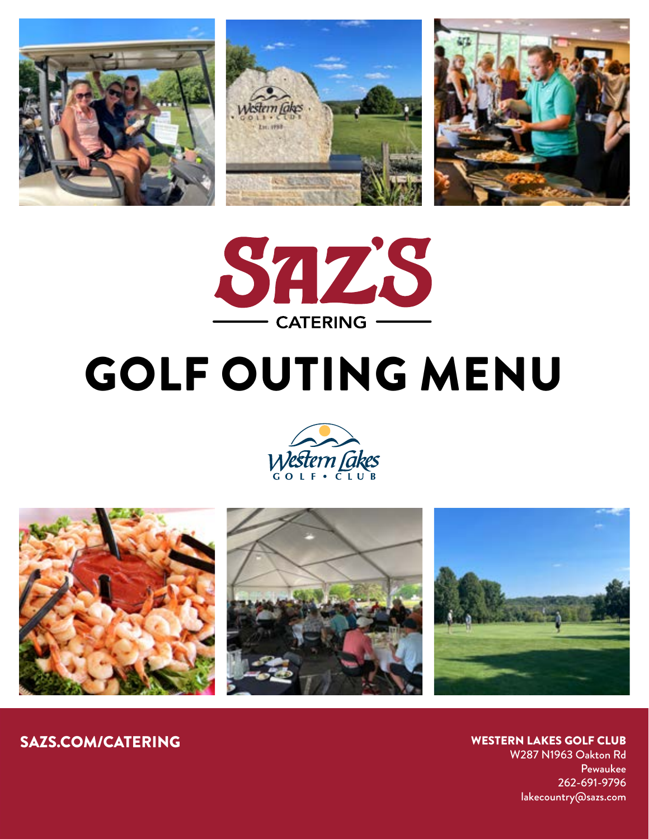



# GOLF OUTING MENU





WESTERN LAKES GOLF CLUB W287 N1963 Oakton Rd

Pewaukee 262-691-9796 lakecountry@sazs.com

SAZS.COM/CATERING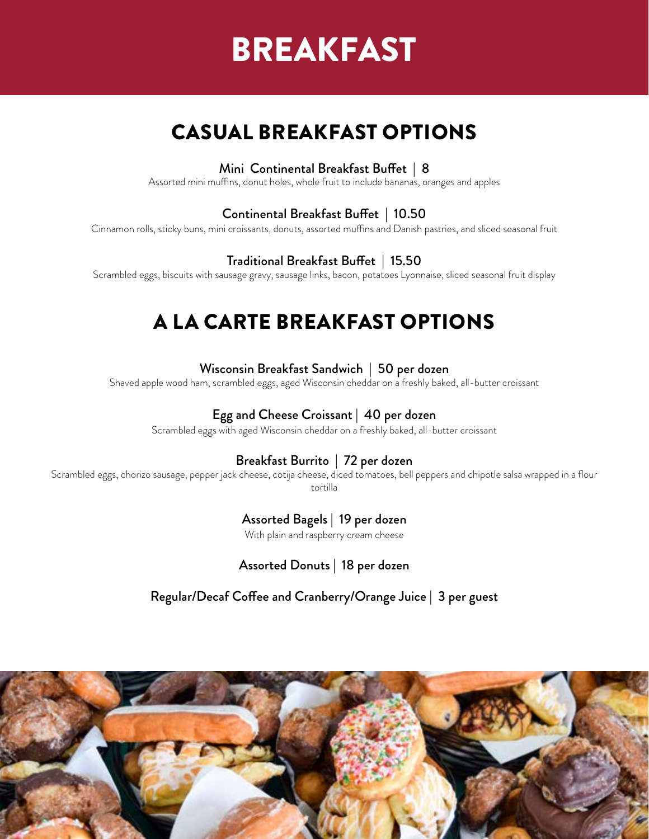## BREAKFAST

## CASUAL BREAKFAST OPTIONS

#### Mini Continental Breakfast Buffet | 8

Assorted mini muffins, donut holes, whole fruit to include bananas, oranges and apples

#### Continental Breakfast Buffet | 10.50

Cinnamon rolls, sticky buns, mini croissants, donuts, assorted muffins and Danish pastries, and sliced seasonal fruit

#### Traditional Breakfast Buffet | 15.50

Scrambled eggs, biscuits with sausage gravy, sausage links, bacon, potatoes Lyonnaise, sliced seasonal fruit display

## A LA CARTE BREAKFAST OPTIONS

#### Wisconsin Breakfast Sandwich | 50 per dozen

Shaved apple wood ham, scrambled eggs, aged Wisconsin cheddar on a freshly baked, all-butter croissant

#### Egg and Cheese Croissant | 40 per dozen

Scrambled eggs with aged Wisconsin cheddar on a freshly baked, all-butter croissant

#### Breakfast Burrito | 72 per dozen

Scrambled eggs, chorizo sausage, pepper jack cheese, cotija cheese, diced tomatoes, bell peppers and chipotle salsa wrapped in a flour tortilla

#### Assorted Bagels | 19 per dozen

With plain and raspberry cream cheese

Assorted Donuts | 18 per dozen

Regular/Decaf Coffee and Cranberry/Orange Juice | 3 per guest

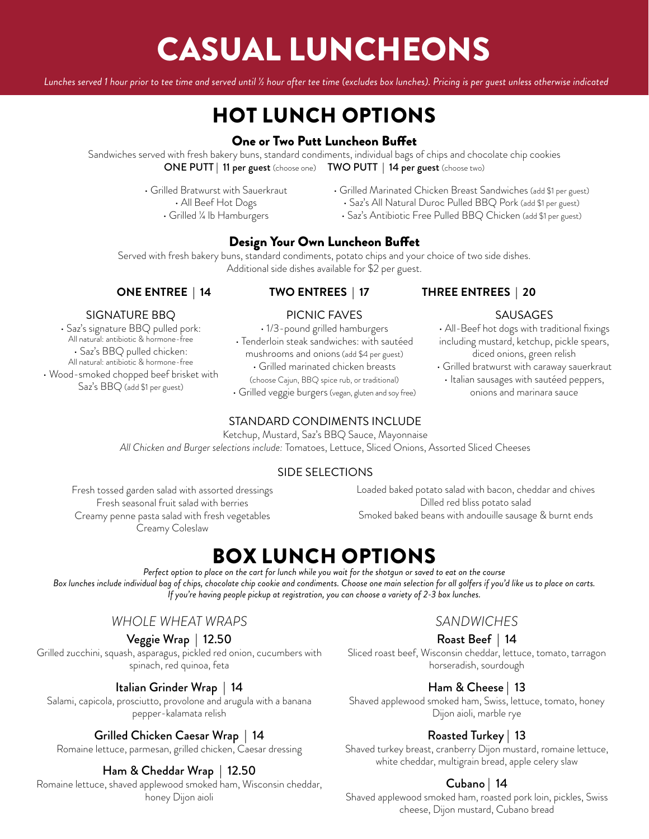# CASUAL LUNCHEONS

*Lunches served 1 hour prior to tee time and served until ½ hour after tee time (excludes box lunches). Pricing is per guest unless otherwise indicated*

## HOT LUNCH OPTIONS

#### One or Two Putt Luncheon Buffet

Sandwiches served with fresh bakery buns, standard condiments, individual bags of chips and chocolate chip cookies ONE PUTT | 11 per guest (choose one) TWO PUTT | 14 per guest (choose two)

- Grilled Bratwurst with Sauerkraut
	- All Beef Hot Dogs
		- Grilled ¼ lb Hamburgers
- Grilled Marinated Chicken Breast Sandwiches (add \$1 per guest) • Saz's All Natural Duroc Pulled BBQ Pork (add \$1 per guest)
	- Saz's Antibiotic Free Pulled BBQ Chicken (add \$1 per guest)

#### Design Your Own Luncheon Buffet

Served with fresh bakery buns, standard condiments, potato chips and your choice of two side dishes. Additional side dishes available for \$2 per guest.

#### **ONE ENTREE | 14 TWO ENTREES | 17 THREE ENTREES | 20**

SAUSAGES • All-Beef hot dogs with traditional fixings including mustard, ketchup, pickle spears, diced onions, green relish • Grilled bratwurst with caraway sauerkraut • Italian sausages with sautéed peppers, onions and marinara sauce

#### SIGNATURE BBQ

• Saz's signature BBQ pulled pork: All natural: antibiotic & hormone-free • Saz's BBQ pulled chicken: All natural: antibiotic & hormone-free • Wood-smoked chopped beef brisket with Saz's BBQ (add \$1 per guest)

### PICNIC FAVES

• 1/3-pound grilled hamburgers • Tenderloin steak sandwiches: with sautéed mushrooms and onions (add \$4 per guest) • Grilled marinated chicken breasts (choose Cajun, BBQ spice rub, or traditional)

• Grilled veggie burgers (vegan, gluten and soy free)

#### STANDARD CONDIMENTS INCLUDE

Ketchup, Mustard, Saz's BBQ Sauce, Mayonnaise *All Chicken and Burger selections include:* Tomatoes, Lettuce, Sliced Onions, Assorted Sliced Cheeses

#### SIDE SELECTIONS

Fresh tossed garden salad with assorted dressings Fresh seasonal fruit salad with berries Creamy penne pasta salad with fresh vegetables Creamy Coleslaw

Loaded baked potato salad with bacon, cheddar and chives Dilled red bliss potato salad Smoked baked beans with andouille sausage & burnt ends

### BOX LUNCH OPTIONS

*Perfect option to place on the cart for lunch while you wait for the shotgun or saved to eat on the course Box lunches include individual bag of chips, chocolate chip cookie and condiments. Choose one main selection for all golfers if you'd like us to place on carts. If you're having people pickup at registration, you can choose a variety of 2-3 box lunches.*

#### *WHOLE WHEAT WRAPS*

#### Veggie Wrap | 12.50

Grilled zucchini, squash, asparagus, pickled red onion, cucumbers with spinach, red quinoa, feta

#### Italian Grinder Wrap | 14

Salami, capicola, prosciutto, provolone and arugula with a banana pepper-kalamata relish

#### Grilled Chicken Caesar Wrap | 14

Romaine lettuce, parmesan, grilled chicken, Caesar dressing

#### Ham & Cheddar Wrap | 12.50

Romaine lettuce, shaved applewood smoked ham, Wisconsin cheddar, honey Dijon aioli

#### *SANDWICHES*

#### Roast Beef | 14

Sliced roast beef, Wisconsin cheddar, lettuce, tomato, tarragon horseradish, sourdough

#### Ham & Cheese | 13

Shaved applewood smoked ham, Swiss, lettuce, tomato, honey Dijon aioli, marble rye

#### Roasted Turkey | 13

Shaved turkey breast, cranberry Dijon mustard, romaine lettuce, white cheddar, multigrain bread, apple celery slaw

#### Cubano | 14

Shaved applewood smoked ham, roasted pork loin, pickles, Swiss cheese, Dijon mustard, Cubano bread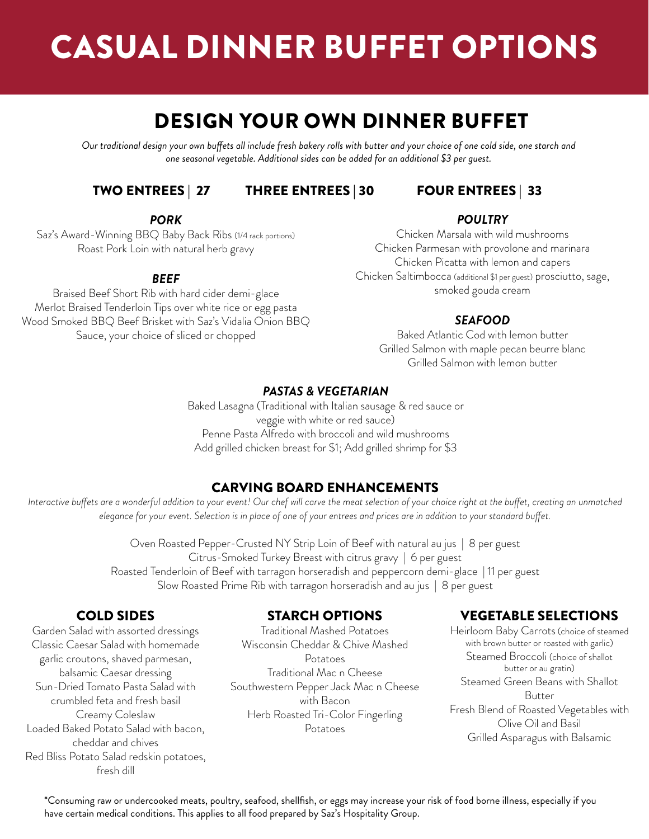# CASUAL DINNER BUFFET OPTIONS

### DESIGN YOUR OWN DINNER BUFFET

*Our traditional design your own buffets all include fresh bakery rolls with butter and your choice of one cold side, one starch and one seasonal vegetable. Additional sides can be added for an additional \$3 per guest.* 

#### TWO ENTREES | 27 THREE ENTREES | 30 FOUR ENTREES | 33

#### *PORK*

Saz's Award-Winning BBQ Baby Back Ribs (1/4 rack portions) Roast Pork Loin with natural herb gravy

#### *BEEF*

Braised Beef Short Rib with hard cider demi-glace Merlot Braised Tenderloin Tips over white rice or egg pasta Wood Smoked BBQ Beef Brisket with Saz's Vidalia Onion BBQ Sauce, your choice of sliced or chopped

#### *POULTRY*

Chicken Marsala with wild mushrooms Chicken Parmesan with provolone and marinara Chicken Picatta with lemon and capers Chicken Saltimbocca (additional \$1 per guest) prosciutto, sage, smoked gouda cream

#### *SEAFOOD*

Baked Atlantic Cod with lemon butter Grilled Salmon with maple pecan beurre blanc Grilled Salmon with lemon butter

#### *PASTAS & VEGETARIAN*

Baked Lasagna (Traditional with Italian sausage & red sauce or veggie with white or red sauce) Penne Pasta Alfredo with broccoli and wild mushrooms Add grilled chicken breast for \$1; Add grilled shrimp for \$3

#### CARVING BOARD ENHANCEMENTS

*Interactive buffets are a wonderful addition to your event! Our chef will carve the meat selection of your choice right at the buffet, creating an unmatched elegance for your event. Selection is in place of one of your entrees and prices are in addition to your standard buffet.*

> Oven Roasted Pepper-Crusted NY Strip Loin of Beef with natural au jus | 8 per guest Citrus-Smoked Turkey Breast with citrus gravy | 6 per guest Roasted Tenderloin of Beef with tarragon horseradish and peppercorn demi-glace | 11 per guest Slow Roasted Prime Rib with tarragon horseradish and au jus | 8 per guest

#### COLD SIDES

Garden Salad with assorted dressings Classic Caesar Salad with homemade garlic croutons, shaved parmesan, balsamic Caesar dressing Sun-Dried Tomato Pasta Salad with crumbled feta and fresh basil Creamy Coleslaw Loaded Baked Potato Salad with bacon, cheddar and chives Red Bliss Potato Salad redskin potatoes, fresh dill

#### STARCH OPTIONS

Traditional Mashed Potatoes Wisconsin Cheddar & Chive Mashed Potatoes Traditional Mac n Cheese Southwestern Pepper Jack Mac n Cheese with Bacon Herb Roasted Tri-Color Fingerling Potatoes

#### VEGETABLE SELECTIONS

Heirloom Baby Carrots (choice of steamed with brown butter or roasted with garlic) Steamed Broccoli (choice of shallot butter or au gratin) Steamed Green Beans with Shallot Butter Fresh Blend of Roasted Vegetables with Olive Oil and Basil Grilled Asparagus with Balsamic

\*Consuming raw or undercooked meats, poultry, seafood, shellfish, or eggs may increase your risk of food borne illness, especially if you have certain medical conditions. This applies to all food prepared by Saz's Hospitality Group.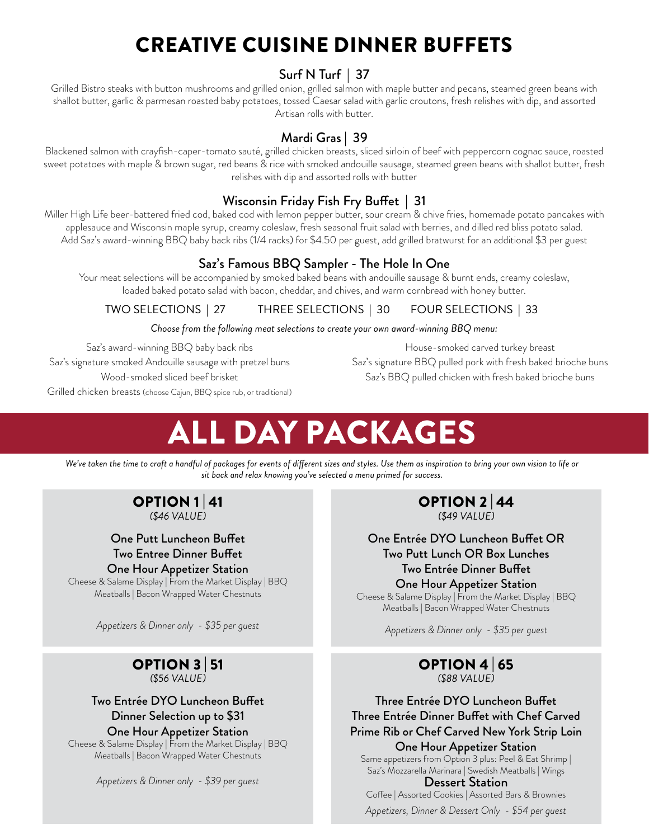## CREATIVE CUISINE DINNER BUFFETS

#### Surf N Turf | 37

Grilled Bistro steaks with button mushrooms and grilled onion, grilled salmon with maple butter and pecans, steamed green beans with shallot butter, garlic & parmesan roasted baby potatoes, tossed Caesar salad with garlic croutons, fresh relishes with dip, and assorted Artisan rolls with butter.

#### Mardi Gras | 39

Blackened salmon with crayfish-caper-tomato sauté, grilled chicken breasts, sliced sirloin of beef with peppercorn cognac sauce, roasted sweet potatoes with maple & brown sugar, red beans & rice with smoked andouille sausage, steamed green beans with shallot butter, fresh relishes with dip and assorted rolls with butter

#### Wisconsin Friday Fish Fry Buffet | 31

Miller High Life beer-battered fried cod, baked cod with lemon pepper butter, sour cream & chive fries, homemade potato pancakes with applesauce and Wisconsin maple syrup, creamy coleslaw, fresh seasonal fruit salad with berries, and dilled red bliss potato salad. Add Saz's award-winning BBQ baby back ribs (1/4 racks) for \$4.50 per guest, add grilled bratwurst for an additional \$3 per guest

#### Saz's Famous BBQ Sampler - The Hole In One

Your meat selections will be accompanied by smoked baked beans with andouille sausage & burnt ends, creamy coleslaw, loaded baked potato salad with bacon, cheddar, and chives, and warm cornbread with honey butter.

TWO SELECTIONS | 27 THREE SELECTIONS | 30 FOUR SELECTIONS | 33

*Choose from the following meat selections to create your own award-winning BBQ menu:* 

Saz's award-winning BBQ baby back ribs

Saz's signature smoked Andouille sausage with pretzel buns Wood-smoked sliced beef brisket

House-smoked carved turkey breast Saz's signature BBQ pulled pork with fresh baked brioche buns Saz's BBQ pulled chicken with fresh baked brioche buns

Grilled chicken breasts (choose Cajun, BBQ spice rub, or traditional)

# ALL DAY PACKAGES

We've taken the time to craft a handful of packages for events of different sizes and styles. Use them as inspiration to bring your own vision to life or *sit back and relax knowing you've selected a menu primed for success.*

#### OPTION 1 | 41 *(\$46 VALUE)*

One Putt Luncheon Buffet Two Entree Dinner Buffet One Hour Appetizer Station

Cheese & Salame Display | From the Market Display | BBQ Meatballs | Bacon Wrapped Water Chestnuts

*Appetizers & Dinner only - \$35 per guest*

#### OPTION 3 | 51 *(\$56 VALUE)*

#### Two Entrée DYO Luncheon Buffet Dinner Selection up to \$31 One Hour Appetizer Station

Cheese & Salame Display | From the Market Display | BBQ Meatballs | Bacon Wrapped Water Chestnuts

*Appetizers & Dinner only - \$39 per guest*

#### OPTION 2 | 44 *(\$49 VALUE)*

One Entrée DYO Luncheon Buffet OR Two Putt Lunch OR Box Lunches Two Entrée Dinner Buffet

#### One Hour Appetizer Station

Cheese & Salame Display | From the Market Display | BBQ Meatballs | Bacon Wrapped Water Chestnuts

*Appetizers & Dinner only - \$35 per guest*

#### OPTION 4 | 65 *(\$88 VALUE)*

Three Entrée DYO Luncheon Buffet Three Entrée Dinner Buffet with Chef Carved Prime Rib or Chef Carved New York Strip Loin One Hour Appetizer Station

Same appetizers from Option 3 plus: Peel & Eat Shrimp | Saz's Mozzarella Marinara | Swedish Meatballs | Wings

Dessert Station Coffee | Assorted Cookies | Assorted Bars & Brownies

*Appetizers, Dinner & Dessert Only - \$54 per guest*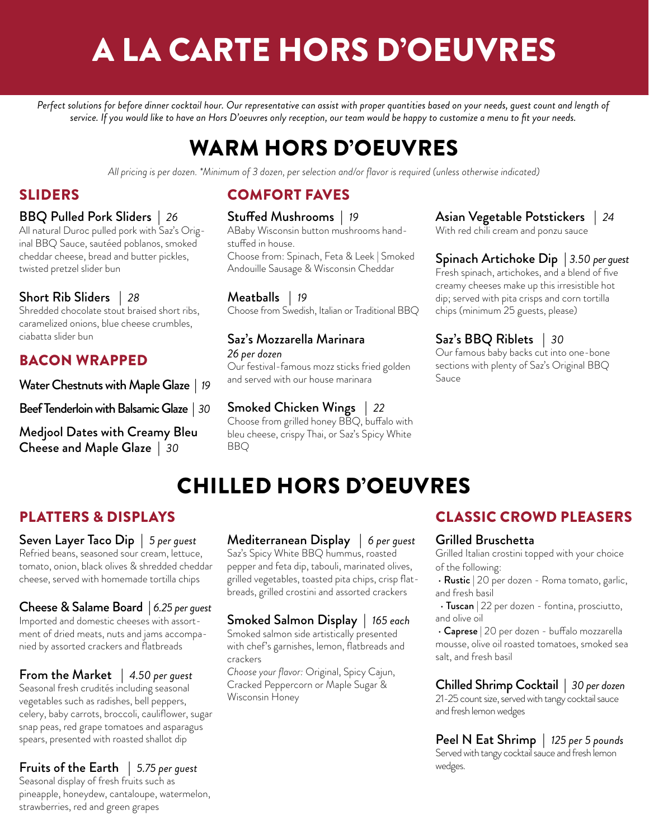# A LA CARTE HORS D'OEUVRES

Perfect solutions for before dinner cocktail hour. Our representative can assist with proper quantities based on your needs, guest count and length of *service. If you would like to have an Hors D'oeuvres only reception, our team would be happy to customize a menu to fit your needs.*

## WARM HORS D'OEUVRES

*All pricing is per dozen. \*Minimum of 3 dozen, per selection and/or flavor is required (unless otherwise indicated)*

### SLIDERS

#### BBQ Pulled Pork Sliders | *26*

All natural Duroc pulled pork with Saz's Original BBQ Sauce, sautéed poblanos, smoked cheddar cheese, bread and butter pickles, twisted pretzel slider bun

#### Short Rib Sliders | *28*

Shredded chocolate stout braised short ribs, caramelized onions, blue cheese crumbles, ciabatta slider bun

#### BACON WRAPPED

Water Chestnuts with Maple Glaze | *19* 

Beef Tenderloin with Balsamic Glaze | *30* 

Medjool Dates with Creamy Bleu Cheese and Maple Glaze | *30*

### COMFORT FAVES

#### Stuffed Mushrooms | *19*

ABaby Wisconsin button mushrooms handstuffed in house. Choose from: Spinach, Feta & Leek | Smoked Andouille Sausage & Wisconsin Cheddar

Meatballs | *19*  Choose from Swedish, Italian or Traditional BBQ

### Saz's Mozzarella Marinara

#### *26 per dozen*

Our festival-famous mozz sticks fried golden and served with our house marinara

#### Smoked Chicken Wings | *22*

Choose from grilled honey BBQ, buffalo with bleu cheese, crispy Thai, or Saz's Spicy White BBQ

#### Asian Vegetable Potstickers | *24*

With red chili cream and ponzu sauce

#### Spinach Artichoke Dip | *3.50 per guest* Fresh spinach, artichokes, and a blend of five

creamy cheeses make up this irresistible hot dip; served with pita crisps and corn tortilla chips (minimum 25 guests, please)

#### Saz's BBQ Riblets | *30*

Our famous baby backs cut into one-bone sections with plenty of Saz's Original BBQ Sauce

## CHILLED HORS D'OEUVRES

### PLATTERS & DISPLAYS

Seven Layer Taco Dip | *5 per guest* Refried beans, seasoned sour cream, lettuce, tomato, onion, black olives & shredded cheddar cheese, served with homemade tortilla chips

#### Cheese & Salame Board | *6.25 per guest*

Imported and domestic cheeses with assortment of dried meats, nuts and jams accompanied by assorted crackers and flatbreads

#### From the Market | *4.50 per guest*

Seasonal fresh crudités including seasonal vegetables such as radishes, bell peppers, celery, baby carrots, broccoli, cauliflower, sugar snap peas, red grape tomatoes and asparagus spears, presented with roasted shallot dip

#### Fruits of the Earth | *5.75 per guest*

Seasonal display of fresh fruits such as pineapple, honeydew, cantaloupe, watermelon, strawberries, red and green grapes

#### Mediterranean Display | *6 per guest*

Saz's Spicy White BBQ hummus, roasted pepper and feta dip, tabouli, marinated olives, grilled vegetables, toasted pita chips, crisp flatbreads, grilled crostini and assorted crackers

#### Smoked Salmon Display | *165 each*

Smoked salmon side artistically presented with chef's garnishes, lemon, flatbreads and crackers

*Choose your flavor:* Original, Spicy Cajun, Cracked Peppercorn or Maple Sugar & Wisconsin Honey

#### CLASSIC CROWD PLEASERS

#### Grilled Bruschetta

Grilled Italian crostini topped with your choice of the following:

• Rustic | 20 per dozen - Roma tomato, garlic, and fresh basil

• Tuscan | 22 per dozen - fontina, prosciutto, and olive oil

 • Caprese | 20 per dozen - buffalo mozzarella mousse, olive oil roasted tomatoes, smoked sea salt, and fresh basil

#### Chilled Shrimp Cocktail | *30 per dozen*

21-25 count size, served with tangy cocktail sauce and fresh lemon wedges

Peel N Eat Shrimp | *125 per 5 pounds* Served with tangy cocktail sauce and fresh lemon

wedges.